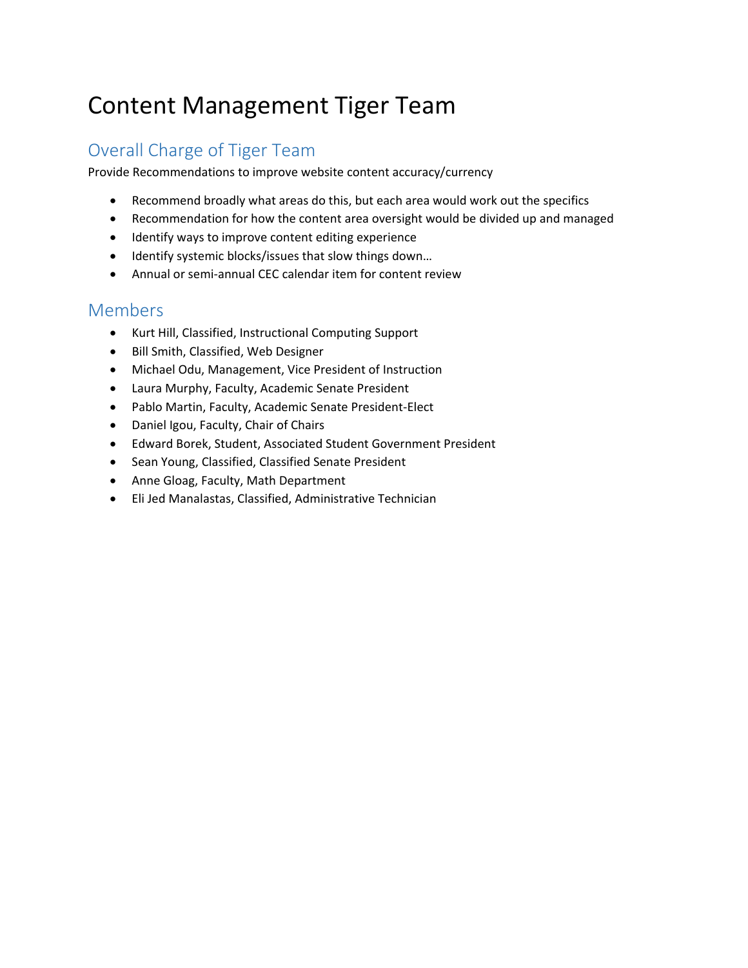# Content Management Tiger Team

# Overall Charge of Tiger Team

Provide Recommendations to improve website content accuracy/currency

- Recommend broadly what areas do this, but each area would work out the specifics
- Recommendation for how the content area oversight would be divided up and managed
- Identify ways to improve content editing experience
- Identify systemic blocks/issues that slow things down…
- Annual or semi-annual CEC calendar item for content review

## Members

- Kurt Hill, Classified, Instructional Computing Support
- Bill Smith, Classified, Web Designer
- Michael Odu, Management, Vice President of Instruction
- Laura Murphy, Faculty, Academic Senate President
- Pablo Martin, Faculty, Academic Senate President-Elect
- Daniel Igou, Faculty, Chair of Chairs
- Edward Borek, Student, Associated Student Government President
- Sean Young, Classified, Classified Senate President
- Anne Gloag, Faculty, Math Department
- Eli Jed Manalastas, Classified, Administrative Technician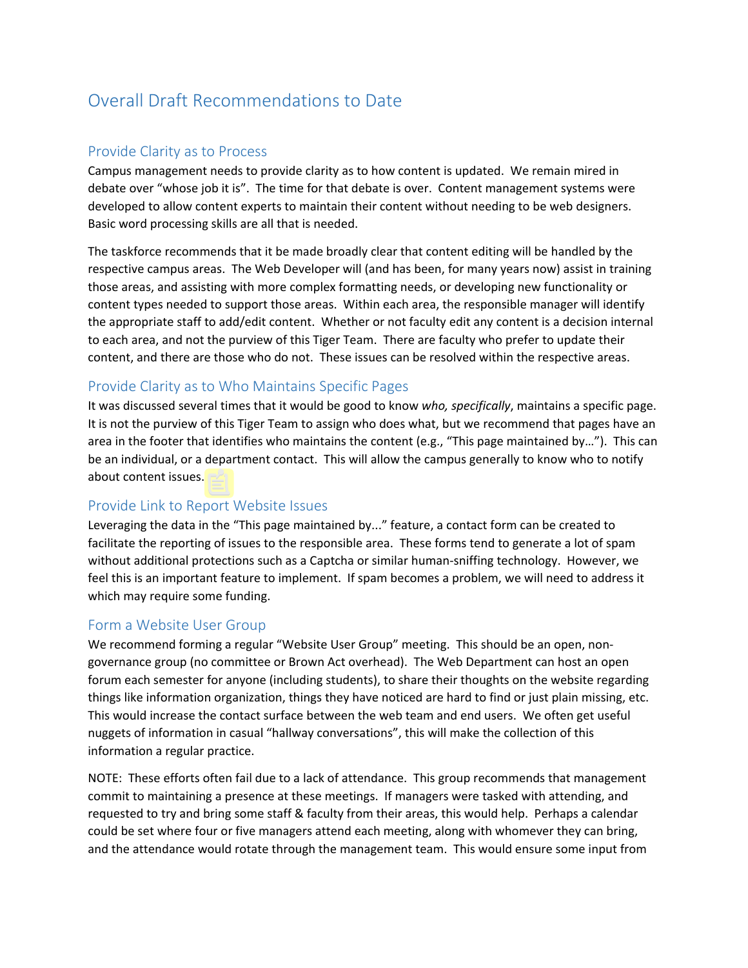# Overall Draft Recommendations to Date

#### Provide Clarity as to Process

Campus management needs to provide clarity as to how content is updated. We remain mired in debate over "whose job it is". The time for that debate is over. Content management systems were developed to allow content experts to maintain their content without needing to be web designers. Basic word processing skills are all that is needed.

The taskforce recommends that it be made broadly clear that content editing will be handled by the respective campus areas. The Web Developer will (and has been, for many years now) assist in training those areas, and assisting with more complex formatting needs, or developing new functionality or content types needed to support those areas. Within each area, the responsible manager will identify the appropriate staff to add/edit content. Whether or not faculty edit any content is a decision internal to each area, and not the purview of this Tiger Team. There are faculty who prefer to update their content, and there are those who do not. These issues can be resolved within the respective areas.

#### Provide Clarity as to Who Maintains Specific Pages

It was discussed several times that it would be good to know *who, specifically*, maintains a specific page. It is not the purview of this Tiger Team to assign who does what, but we recommend that pages have an area in the footer that identifies who maintains the content (e.g., "This page maintained by…"). This can be an individual, or a department contact. This will allow the campus generally to know who to notify about content issues.

#### Provide Link to Report Website Issues

Leveraging the data in the "This page maintained by..." feature, a contact form can be created to facilitate the reporting of issues to the responsible area. These forms tend to generate a lot of spam without additional protections such as a Captcha or similar human-sniffing technology. However, we feel this is an important feature to implement. If spam becomes a problem, we will need to address it which may require some funding.

#### Form a Website User Group

We recommend forming a regular "Website User Group" meeting. This should be an open, nongovernance group (no committee or Brown Act overhead). The Web Department can host an open forum each semester for anyone (including students), to share their thoughts on the website regarding things like information organization, things they have noticed are hard to find or just plain missing, etc. This would increase the contact surface between the web team and end users. We often get useful nuggets of information in casual "hallway conversations", this will make the collection of this information a regular practice.

NOTE: These efforts often fail due to a lack of attendance. This group recommends that management commit to maintaining a presence at these meetings. If managers were tasked with attending, and requested to try and bring some staff & faculty from their areas, this would help. Perhaps a calendar could be set where four or five managers attend each meeting, along with whomever they can bring, and the attendance would rotate through the management team. This would ensure some input from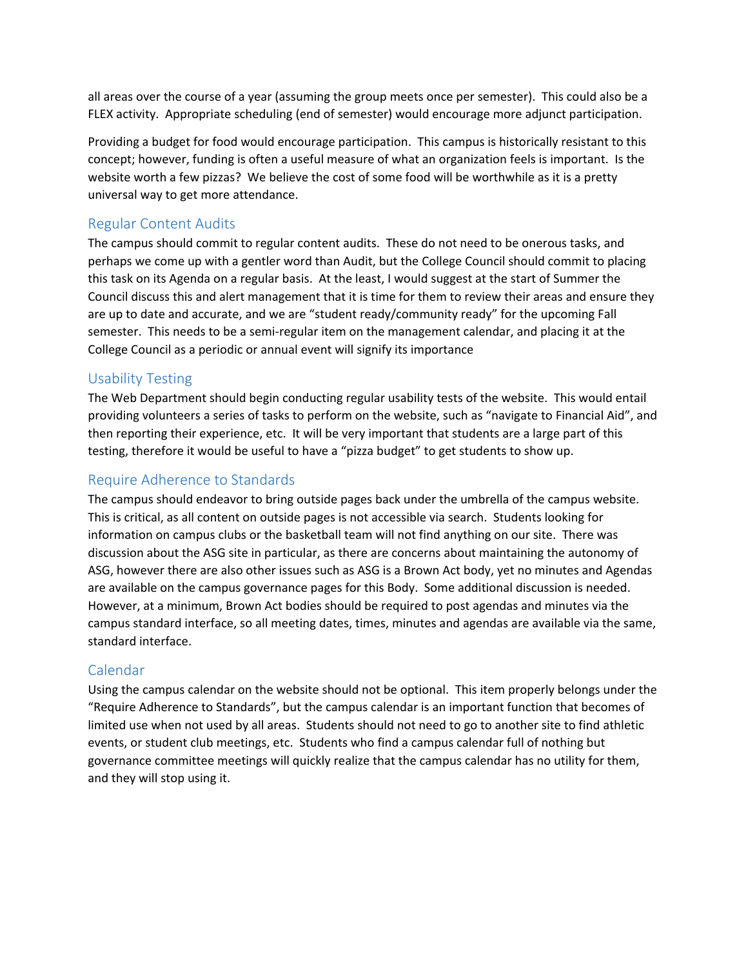all areas over the course of a year (assuming the group meets once per semester). This could also be a FLEX activity. Appropriate scheduling (end of semester) would encourage more adjunct participation.

Providing a budget for food would encourage participation. This campus is historically resistant to this concept; however, funding is often a useful measure of what an organization feels is important. Is the website worth a few pizzas? We believe the cost of some food will be worthwhile as it is a pretty universal way to get more attendance.

#### Regular Content Audits

The campus should commit to regular content audits. These do not need to be onerous tasks, and perhaps we come up with a gentler word than Audit, but the College Council should commit to placing this task on its Agenda on a regular basis. At the least, I would suggest at the start of Summer the Council discuss this and alert management that it is time for them to review their areas and ensure they are up to date and accurate, and we are "student ready/community ready" for the upcoming Fall semester. This needs to be a semi-regular item on the management calendar, and placing it at the College Council as a periodic or annual event will signify its importance

### Usability Testing

The Web Department should begin conducting regular usability tests of the website. This would entail providing volunteers a series of tasks to perform on the website, such as "navigate to Financial Aid", and then reporting their experience, etc. It will be very important that students are a large part of this testing, therefore it would be useful to have a "pizza budget" to get students to show up.

## Require Adherence to Standards

The campus should endeavor to bring outside pages back under the umbrella of the campus website. This is critical, as all content on outside pages is not accessible via search. Students looking for information on campus clubs or the basketball team will not find anything on our site. There was discussion about the ASG site in particular, as there are concerns about maintaining the autonomy of ASG, however there are also other issues such as ASG is a Brown Act body, yet no minutes and Agendas are available on the campus governance pages for this Body. Some additional discussion is needed. However, at a minimum, Brown Act bodies should be required to post agendas and minutes via the campus standard interface, so all meeting dates, times, minutes and agendas are available via the same, standard interface.

#### Calendar

Using the campus calendar on the website should not be optional. This item properly belongs under the "Require Adherence to Standards", but the campus calendar is an important function that becomes of limited use when not used by all areas. Students should not need to go to another site to find athletic events, or student club meetings, etc. Students who find a campus calendar full of nothing but governance committee meetings will quickly realize that the campus calendar has no utility for them, and they will stop using it.